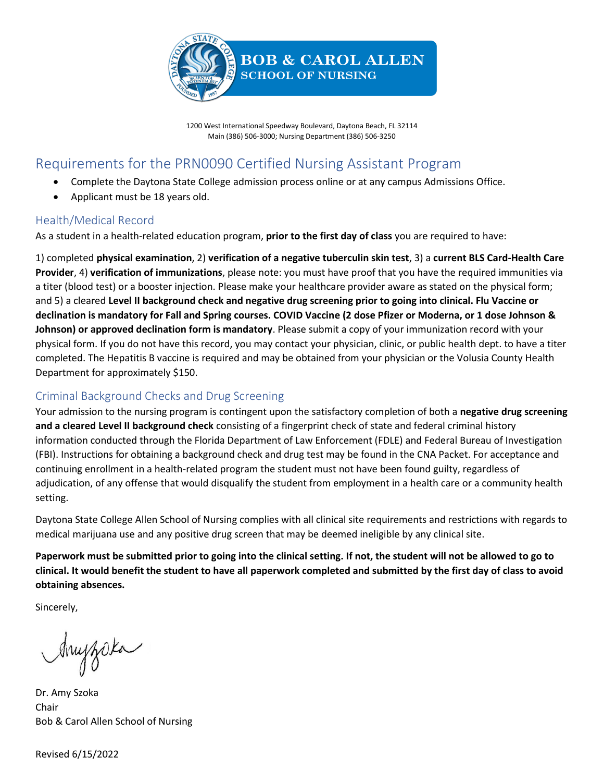

1200 West International Speedway Boulevard, Daytona Beach, FL 32114 Main (386) 506-3000; Nursing Department (386) 506-3250

# Requirements for the PRN0090 Certified Nursing Assistant Program

- Complete the Daytona State College admission process online or at any campus Admissions Office.
- Applicant must be 18 years old.

### Health/Medical Record

As a student in a health-related education program, **prior to the first day of class** you are required to have:

1) completed **physical examination**, 2) **verification of a negative tuberculin skin test**, 3) a **current BLS Card-Health Care Provider**, 4) **verification of immunizations**, please note: you must have proof that you have the required immunities via a titer (blood test) or a booster injection. Please make your healthcare provider aware as stated on the physical form; and 5) a cleared **Level II background check and negative drug screening prior to going into clinical. Flu Vaccine or declination is mandatory for Fall and Spring courses. COVID Vaccine (2 dose Pfizer or Moderna, or 1 dose Johnson & Johnson) or approved declination form is mandatory**. Please submit a copy of your immunization record with your physical form. If you do not have this record, you may contact your physician, clinic, or public health dept. to have a titer completed. The Hepatitis B vaccine is required and may be obtained from your physician or the Volusia County Health Department for approximately \$150.

## Criminal Background Checks and Drug Screening

Your admission to the nursing program is contingent upon the satisfactory completion of both a **negative drug screening and a cleared Level II background check** consisting of a fingerprint check of state and federal criminal history information conducted through the Florida Department of Law Enforcement (FDLE) and Federal Bureau of Investigation (FBI). Instructions for obtaining a background check and drug test may be found in the CNA Packet. For acceptance and continuing enrollment in a health-related program the student must not have been found guilty, regardless of adjudication, of any offense that would disqualify the student from employment in a health care or a community health setting.

Daytona State College Allen School of Nursing complies with all clinical site requirements and restrictions with regards to medical marijuana use and any positive drug screen that may be deemed ineligible by any clinical site.

**Paperwork must be submitted prior to going into the clinical setting. If not, the student will not be allowed to go to clinical. It would benefit the student to have all paperwork completed and submitted by the first day of class to avoid obtaining absences.**

Sincerely,

Anyzoka

Dr. Amy Szoka Chair Bob & Carol Allen School of Nursing

Revised 6/15/2022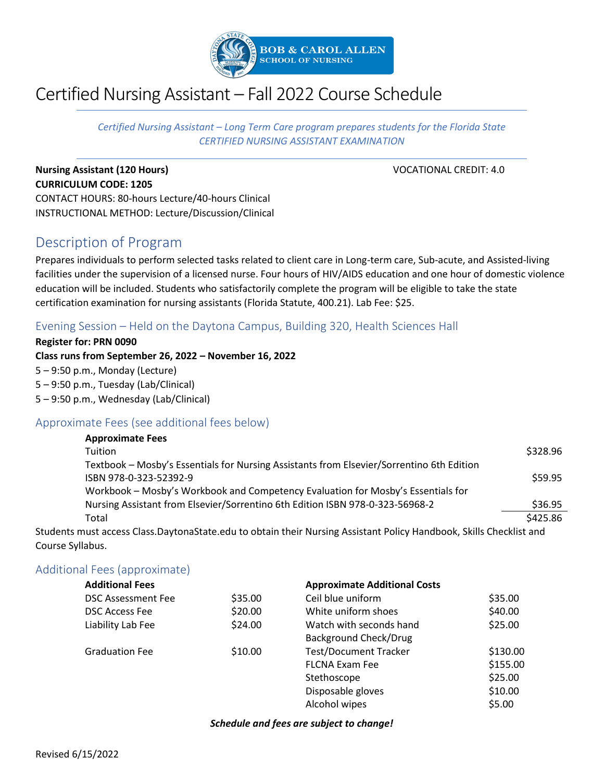

# Certified Nursing Assistant – Fall 2022 Course Schedule

*Certified Nursing Assistant – Long Term Care program prepares students for the Florida State CERTIFIED NURSING ASSISTANT EXAMINATION*

## **Nursing Assistant (120 Hours) VOCATIONAL CREDIT: 4.0 CURRICULUM CODE: 1205**

CONTACT HOURS: 80-hours Lecture/40-hours Clinical INSTRUCTIONAL METHOD: Lecture/Discussion/Clinical

# Description of Program

Prepares individuals to perform selected tasks related to client care in Long-term care, Sub-acute, and Assisted-living facilities under the supervision of a licensed nurse. Four hours of HIV/AIDS education and one hour of domestic violence education will be included. Students who satisfactorily complete the program will be eligible to take the state certification examination for nursing assistants (Florida Statute, 400.21). Lab Fee: \$25.

#### Evening Session – Held on the Daytona Campus, Building 320, Health Sciences Hall

**Register for: PRN 0090 Class runs from September 26, 2022 – November 16, 2022** 5 – 9:50 p.m., Monday (Lecture) 5 – 9:50 p.m., Tuesday (Lab/Clinical) 5 – 9:50 p.m., Wednesday (Lab/Clinical)

## Approximate Fees (see additional fees below)

| <b>Approximate Fees</b>                                                                                   |          |
|-----------------------------------------------------------------------------------------------------------|----------|
| Tuition                                                                                                   | \$328.96 |
| Textbook - Mosby's Essentials for Nursing Assistants from Elsevier/Sorrentino 6th Edition                 |          |
| ISBN 978-0-323-52392-9                                                                                    | \$59.95  |
| Workbook - Mosby's Workbook and Competency Evaluation for Mosby's Essentials for                          |          |
| Nursing Assistant from Elsevier/Sorrentino 6th Edition ISBN 978-0-323-56968-2                             | \$36.95  |
| Total                                                                                                     | \$425.86 |
| uustaassa Class DoutenaCtata askuta aktain thais Nussing Assistant Dalisu Handelaak. Chille Chaekkist and |          |

Students must access Class.DaytonaState.edu to obtain their Nursing Assistant Policy Handbook, Skills Checklist and Course Syllabus.

#### Additional Fees (approximate)

| <b>Additional Fees</b> |         | <b>Approximate Additional Costs</b> |          |
|------------------------|---------|-------------------------------------|----------|
| DSC Assessment Fee     | \$35.00 | Ceil blue uniform                   | \$35.00  |
| <b>DSC Access Fee</b>  | \$20.00 | White uniform shoes                 | \$40.00  |
| Liability Lab Fee      | \$24.00 | Watch with seconds hand             | \$25.00  |
|                        |         | <b>Background Check/Drug</b>        |          |
| <b>Graduation Fee</b>  | \$10.00 | <b>Test/Document Tracker</b>        | \$130.00 |
|                        |         | <b>FLCNA Exam Fee</b>               | \$155.00 |
|                        |         | Stethoscope                         | \$25.00  |
|                        |         | Disposable gloves                   | \$10.00  |
|                        |         | Alcohol wipes                       | \$5.00   |

#### *Schedule and fees are subject to change!*